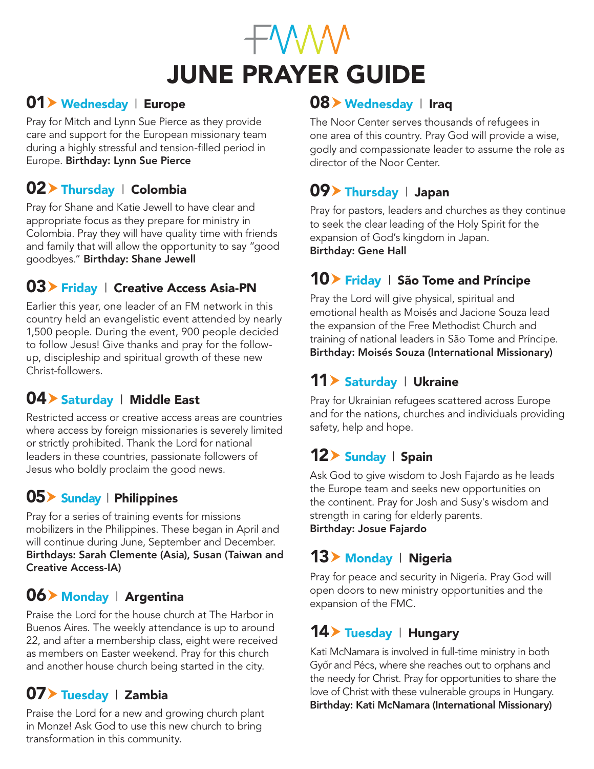# **EWWW** JUNE PRAYER GUIDE

#### 01 Vednesday | Europe

Pray for Mitch and Lynn Sue Pierce as they provide care and support for the European missionary team during a highly stressful and tension-filled period in Europe. Birthday: Lynn Sue Pierce

## 02 > Thursday | Colombia

Pray for Shane and Katie Jewell to have clear and appropriate focus as they prepare for ministry in Colombia. Pray they will have quality time with friends and family that will allow the opportunity to say "good goodbyes." Birthday: Shane Jewell

## $03$  Friday | Creative Access Asia-PN

Earlier this year, one leader of an FM network in this country held an evangelistic event attended by nearly 1,500 people. During the event, 900 people decided to follow Jesus! Give thanks and pray for the followup, discipleship and spiritual growth of these new Christ-followers.

# 04 > Saturday | Middle East

Restricted access or creative access areas are countries where access by foreign missionaries is severely limited or strictly prohibited. Thank the Lord for national leaders in these countries, passionate followers of Jesus who boldly proclaim the good news.

# 05 Sunday | Philippines

Pray for a series of training events for missions mobilizers in the Philippines. These began in April and will continue during June, September and December. Birthdays: Sarah Clemente (Asia), Susan (Taiwan and Creative Access-IA)

## 06 Monday | Argentina

Praise the Lord for the house church at The Harbor in Buenos Aires. The weekly attendance is up to around 22, and after a membership class, eight were received as members on Easter weekend. Pray for this church and another house church being started in the city.

# $07$  Tuesday | Zambia

Praise the Lord for a new and growing church plant in Monze! Ask God to use this new church to bring transformation in this community.

# 08 Vednesday | Iraq

The Noor Center serves thousands of refugees in one area of this country. Pray God will provide a wise, godly and compassionate leader to assume the role as director of the Noor Center.

## $09$  Thursday | Japan

Pray for pastors, leaders and churches as they continue to seek the clear leading of the Holy Spirit for the expansion of God's kingdom in Japan. Birthday: Gene Hall

## $10$  Friday | São Tome and Príncipe

Pray the Lord will give physical, spiritual and emotional health as Moisés and Jacione Souza lead the expansion of the Free Methodist Church and training of national leaders in São Tome and Príncipe. Birthday: Moisés Souza (International Missionary)

# 11 > Saturday | Ukraine

Pray for Ukrainian refugees scattered across Europe and for the nations, churches and individuals providing safety, help and hope.

# 12> Sunday | Spain

Ask God to give wisdom to Josh Fajardo as he leads the Europe team and seeks new opportunities on the continent. Pray for Josh and Susy's wisdom and strength in caring for elderly parents. Birthday: Josue Fajardo

## 13 Monday | Nigeria

Pray for peace and security in Nigeria. Pray God will open doors to new ministry opportunities and the expansion of the FMC.

## $14$  Tuesday | Hungary

Kati McNamara is involved in full-time ministry in both Győr and Pécs, where she reaches out to orphans and the needy for Christ. Pray for opportunities to share the love of Christ with these vulnerable groups in Hungary. Birthday: Kati McNamara (International Missionary)